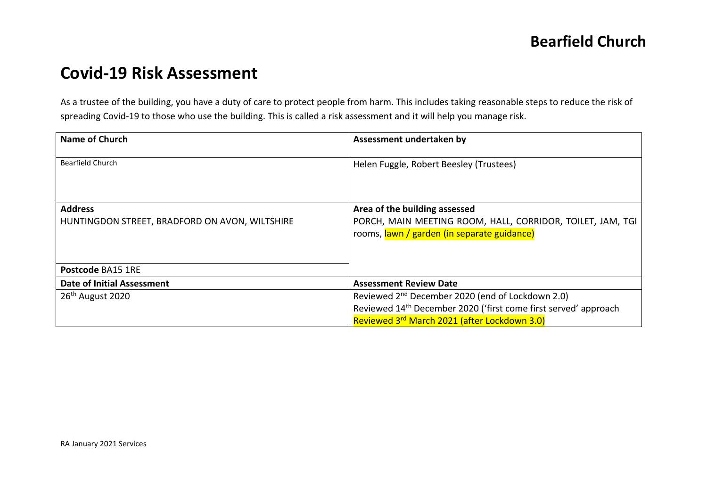# **Covid-19 Risk Assessment**

As a trustee of the building, you have a duty of care to protect people from harm. This includes taking reasonable steps to reduce the risk of spreading Covid-19 to those who use the building. This is called a risk assessment and it will help you manage risk.

| <b>Name of Church</b>                                            | Assessment undertaken by                                                                                                                   |  |  |
|------------------------------------------------------------------|--------------------------------------------------------------------------------------------------------------------------------------------|--|--|
| <b>Bearfield Church</b>                                          | Helen Fuggle, Robert Beesley (Trustees)                                                                                                    |  |  |
| <b>Address</b><br>HUNTINGDON STREET, BRADFORD ON AVON, WILTSHIRE | Area of the building assessed<br>PORCH, MAIN MEETING ROOM, HALL, CORRIDOR, TOILET, JAM, TGI<br>rooms, lawn / garden (in separate guidance) |  |  |
| Postcode BA15 1RE                                                |                                                                                                                                            |  |  |
| Date of Initial Assessment                                       | <b>Assessment Review Date</b>                                                                                                              |  |  |
| 26 <sup>th</sup> August 2020                                     | Reviewed 2 <sup>nd</sup> December 2020 (end of Lockdown 2.0)                                                                               |  |  |
|                                                                  | Reviewed 14 <sup>th</sup> December 2020 ('first come first served' approach                                                                |  |  |
|                                                                  | Reviewed 3rd March 2021 (after Lockdown 3.0)                                                                                               |  |  |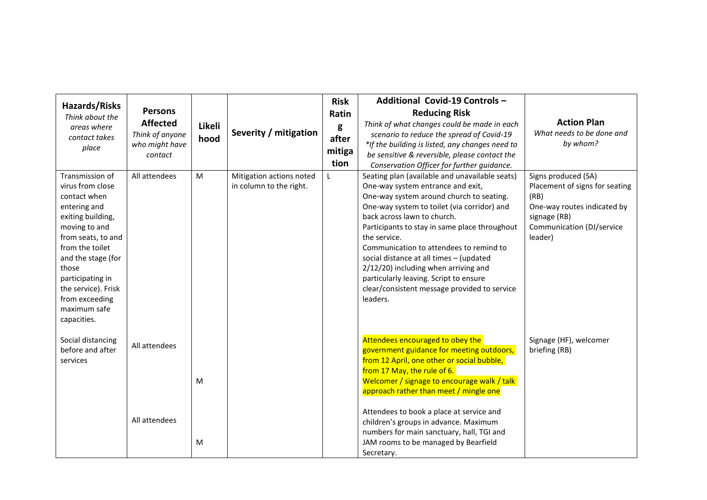| <b>Hazards/Risks</b><br>Think about the<br>areas where<br>contact takes<br>place                                                                                                                                                                                              | <b>Persons</b><br><b>Affected</b><br>Think of anyone<br>who might have<br>contact | Likeli<br>hood | Severity / mitigation                               | <b>Risk</b><br>Ratin<br>g<br>after<br>mitiga<br>tion | Additional Covid-19 Controls -<br><b>Reducing Risk</b><br>Think of what changes could be made in each<br>scenario to reduce the spread of Covid-19<br>*If the building is listed, any changes need to<br>be sensitive & reversible, please contact the<br>Conservation Officer for further guidance.                                                                                                                                                                                                               | <b>Action Plan</b><br>What needs to be done and<br>by whom?                                                                                          |
|-------------------------------------------------------------------------------------------------------------------------------------------------------------------------------------------------------------------------------------------------------------------------------|-----------------------------------------------------------------------------------|----------------|-----------------------------------------------------|------------------------------------------------------|--------------------------------------------------------------------------------------------------------------------------------------------------------------------------------------------------------------------------------------------------------------------------------------------------------------------------------------------------------------------------------------------------------------------------------------------------------------------------------------------------------------------|------------------------------------------------------------------------------------------------------------------------------------------------------|
| Transmission of<br>virus from close<br>contact when<br>entering and<br>exiting building,<br>moving to and<br>from seats, to and<br>from the toilet<br>and the stage (for<br>those<br>participating in<br>the service). Frisk<br>from exceeding<br>maximum safe<br>capacities. | All attendees                                                                     | M              | Mitigation actions noted<br>in column to the right. | L                                                    | Seating plan (available and unavailable seats)<br>One-way system entrance and exit,<br>One-way system around church to seating.<br>One-way system to toilet (via corridor) and<br>back across lawn to church.<br>Participants to stay in same place throughout<br>the service.<br>Communication to attendees to remind to<br>social distance at all times - (updated<br>2/12/20) including when arriving and<br>particularly leaving. Script to ensure<br>clear/consistent message provided to service<br>leaders. | Signs produced (SA)<br>Placement of signs for seating<br>(RB)<br>One-way routes indicated by<br>signage (RB)<br>Communication (DJ/service<br>leader) |
| Social distancing<br>before and after<br>services                                                                                                                                                                                                                             | All attendees<br>All attendees                                                    | M<br>M         |                                                     |                                                      | Attendees encouraged to obey the<br>government guidance for meeting outdoors,<br>from 12 April, one other or social bubble,<br>from 17 May, the rule of 6.<br>Welcomer / signage to encourage walk / talk<br>approach rather than meet / mingle one<br>Attendees to book a place at service and<br>children's groups in advance. Maximum<br>numbers for main sanctuary, hall, TGI and<br>JAM rooms to be managed by Bearfield<br>Secretary.                                                                        | Signage (HF), welcomer<br>briefing (RB)                                                                                                              |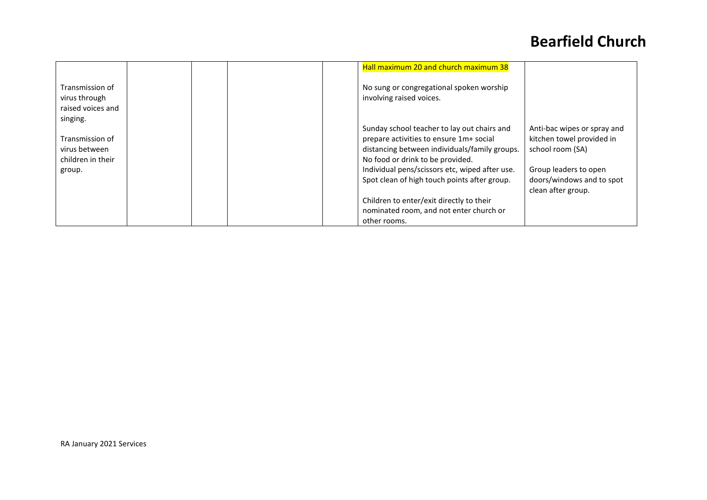## **Bearfield Church**

|                                                                             |  | Hall maximum 20 and church maximum 38                                                                                                                                                                                                                                                                                     |                                                                                                                                                          |
|-----------------------------------------------------------------------------|--|---------------------------------------------------------------------------------------------------------------------------------------------------------------------------------------------------------------------------------------------------------------------------------------------------------------------------|----------------------------------------------------------------------------------------------------------------------------------------------------------|
| Transmission of<br>virus through<br>raised voices and                       |  | No sung or congregational spoken worship<br>involving raised voices.                                                                                                                                                                                                                                                      |                                                                                                                                                          |
| singing.<br>Transmission of<br>virus between<br>children in their<br>group. |  | Sunday school teacher to lay out chairs and<br>prepare activities to ensure 1m+ social<br>distancing between individuals/family groups.<br>No food or drink to be provided.<br>Individual pens/scissors etc, wiped after use.<br>Spot clean of high touch points after group.<br>Children to enter/exit directly to their | Anti-bac wipes or spray and<br>kitchen towel provided in<br>school room (SA)<br>Group leaders to open<br>doors/windows and to spot<br>clean after group. |
|                                                                             |  | nominated room, and not enter church or<br>other rooms.                                                                                                                                                                                                                                                                   |                                                                                                                                                          |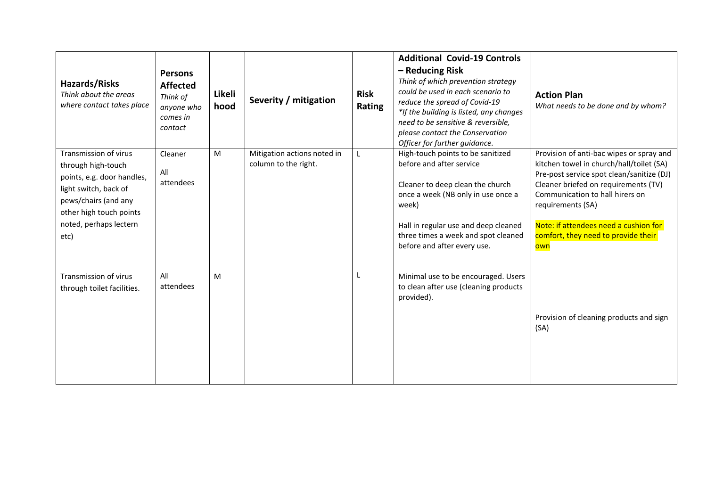| <b>Hazards/Risks</b><br>Think about the areas<br>where contact takes place                                                                                                              | <b>Persons</b><br><b>Affected</b><br>Think of<br>anyone who<br>comes in<br>contact | Likeli<br>hood | Severity / mitigation                               | <b>Risk</b><br>Rating | <b>Additional Covid-19 Controls</b><br>- Reducing Risk<br>Think of which prevention strategy<br>could be used in each scenario to<br>reduce the spread of Covid-19<br>*If the building is listed, any changes<br>need to be sensitive & reversible,<br>please contact the Conservation<br>Officer for further guidance. | <b>Action Plan</b><br>What needs to be done and by whom?                                                                                                                                                                                                                                                                 |
|-----------------------------------------------------------------------------------------------------------------------------------------------------------------------------------------|------------------------------------------------------------------------------------|----------------|-----------------------------------------------------|-----------------------|-------------------------------------------------------------------------------------------------------------------------------------------------------------------------------------------------------------------------------------------------------------------------------------------------------------------------|--------------------------------------------------------------------------------------------------------------------------------------------------------------------------------------------------------------------------------------------------------------------------------------------------------------------------|
| Transmission of virus<br>through high-touch<br>points, e.g. door handles,<br>light switch, back of<br>pews/chairs (and any<br>other high touch points<br>noted, perhaps lectern<br>etc) | Cleaner<br>All<br>attendees                                                        | M              | Mitigation actions noted in<br>column to the right. |                       | High-touch points to be sanitized<br>before and after service<br>Cleaner to deep clean the church<br>once a week (NB only in use once a<br>week)<br>Hall in regular use and deep cleaned<br>three times a week and spot cleaned<br>before and after every use.                                                          | Provision of anti-bac wipes or spray and<br>kitchen towel in church/hall/toilet (SA)<br>Pre-post service spot clean/sanitize (DJ)<br>Cleaner briefed on requirements (TV)<br>Communication to hall hirers on<br>requirements (SA)<br>Note: if attendees need a cushion for<br>comfort, they need to provide their<br>own |
| Transmission of virus<br>through toilet facilities.                                                                                                                                     | All<br>attendees                                                                   | M              |                                                     |                       | Minimal use to be encouraged. Users<br>to clean after use (cleaning products<br>provided).                                                                                                                                                                                                                              | Provision of cleaning products and sign<br>(SA)                                                                                                                                                                                                                                                                          |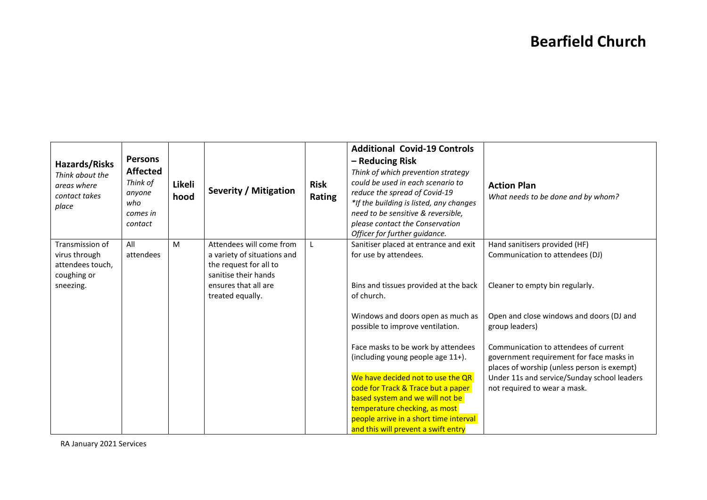## **Bearfield Church**

| Hazards/Risks<br>Think about the<br>areas where<br>contact takes<br>place        | <b>Persons</b><br><b>Affected</b><br>Think of<br>anyone<br>who<br>comes in<br>contact | Likeli<br>hood | <b>Severity / Mitigation</b>                                                                                                                          | <b>Risk</b><br>Rating | <b>Additional Covid-19 Controls</b><br>- Reducing Risk<br>Think of which prevention strategy<br>could be used in each scenario to<br>reduce the spread of Covid-19<br>*If the building is listed, any changes<br>need to be sensitive & reversible,<br>please contact the Conservation<br>Officer for further guidance.                                                          | <b>Action Plan</b><br>What needs to be done and by whom?                                                                                                                                                                                                                      |
|----------------------------------------------------------------------------------|---------------------------------------------------------------------------------------|----------------|-------------------------------------------------------------------------------------------------------------------------------------------------------|-----------------------|----------------------------------------------------------------------------------------------------------------------------------------------------------------------------------------------------------------------------------------------------------------------------------------------------------------------------------------------------------------------------------|-------------------------------------------------------------------------------------------------------------------------------------------------------------------------------------------------------------------------------------------------------------------------------|
| Transmission of<br>virus through<br>attendees touch,<br>coughing or<br>sneezing. | All<br>attendees                                                                      | M              | Attendees will come from<br>a variety of situations and<br>the request for all to<br>sanitise their hands<br>ensures that all are<br>treated equally. |                       | Sanitiser placed at entrance and exit<br>for use by attendees.<br>Bins and tissues provided at the back<br>of church.                                                                                                                                                                                                                                                            | Hand sanitisers provided (HF)<br>Communication to attendees (DJ)<br>Cleaner to empty bin regularly.                                                                                                                                                                           |
|                                                                                  |                                                                                       |                |                                                                                                                                                       |                       | Windows and doors open as much as<br>possible to improve ventilation.<br>Face masks to be work by attendees<br>(including young people age 11+).<br>We have decided not to use the QR<br>code for Track & Trace but a paper<br>based system and we will not be<br>temperature checking, as most<br>people arrive in a short time interval<br>and this will prevent a swift entry | Open and close windows and doors (DJ and<br>group leaders)<br>Communication to attendees of current<br>government requirement for face masks in<br>places of worship (unless person is exempt)<br>Under 11s and service/Sunday school leaders<br>not required to wear a mask. |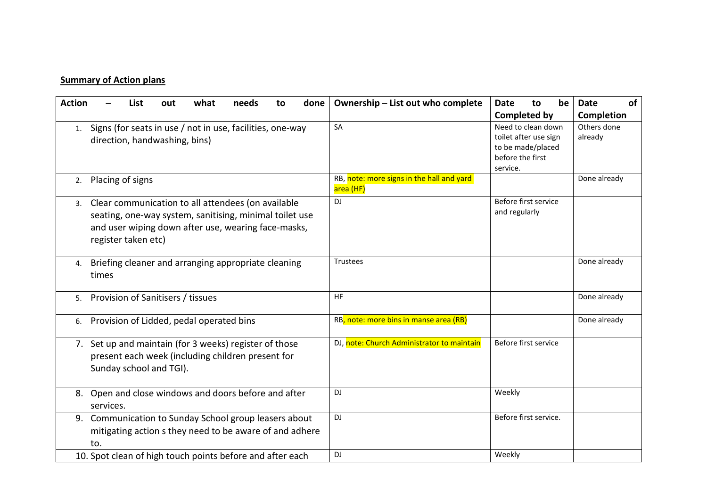#### **Summary of Action plans**

| <b>Action</b> | what<br>List<br>needs<br>done<br>out<br>to                                                 | Ownership - List out who complete                      | be<br>to<br>Date                            | of<br><b>Date</b>      |
|---------------|--------------------------------------------------------------------------------------------|--------------------------------------------------------|---------------------------------------------|------------------------|
|               |                                                                                            |                                                        | <b>Completed by</b>                         | Completion             |
| 1.            | Signs (for seats in use / not in use, facilities, one-way<br>direction, handwashing, bins) | SA                                                     | Need to clean down<br>toilet after use sign | Others done<br>already |
|               |                                                                                            |                                                        | to be made/placed                           |                        |
|               |                                                                                            |                                                        | before the first                            |                        |
|               |                                                                                            |                                                        | service.                                    |                        |
| 2.            | Placing of signs                                                                           | RB, note: more signs in the hall and yard<br>area (HF) |                                             | Done already           |
|               | 3. Clear communication to all attendees (on available                                      | <b>DJ</b>                                              | Before first service                        |                        |
|               | seating, one-way system, sanitising, minimal toilet use                                    |                                                        | and regularly                               |                        |
|               | and user wiping down after use, wearing face-masks,<br>register taken etc)                 |                                                        |                                             |                        |
|               |                                                                                            |                                                        |                                             |                        |
| 4.            | Briefing cleaner and arranging appropriate cleaning                                        | Trustees                                               |                                             | Done already           |
|               | times                                                                                      |                                                        |                                             |                        |
| 5.            | Provision of Sanitisers / tissues                                                          | HF.                                                    |                                             | Done already           |
| 6.            | Provision of Lidded, pedal operated bins                                                   | RB, note: more bins in manse area (RB)                 |                                             | Done already           |
|               | 7. Set up and maintain (for 3 weeks) register of those                                     | DJ, note: Church Administrator to maintain             | Before first service                        |                        |
|               | present each week (including children present for                                          |                                                        |                                             |                        |
|               | Sunday school and TGI).                                                                    |                                                        |                                             |                        |
|               | 8. Open and close windows and doors before and after                                       | DJ                                                     | Weekly                                      |                        |
|               | services.                                                                                  |                                                        |                                             |                        |
|               | 9. Communication to Sunday School group leasers about                                      | <b>DJ</b>                                              | Before first service.                       |                        |
|               | mitigating action s they need to be aware of and adhere                                    |                                                        |                                             |                        |
|               | to.                                                                                        |                                                        |                                             |                        |
|               | 10. Spot clean of high touch points before and after each                                  | <b>DJ</b>                                              | Weekly                                      |                        |